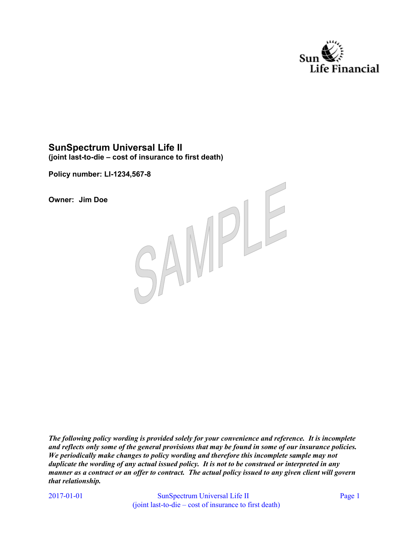

## **SunSpectrum Universal Life II (joint last-to-die – cost of insurance to first death)**

**Policy number: LI-1234,567-8**

**Owner: Jim Doe**



*The following policy wording is provided solely for your convenience and reference. It is incomplete and reflects only some of the general provisions that may be found in some of our insurance policies. We periodically make changes to policy wording and therefore this incomplete sample may not duplicate the wording of any actual issued policy. It is not to be construed or interpreted in any manner as a contract or an offer to contract. The actual policy issued to any given client will govern that relationship.*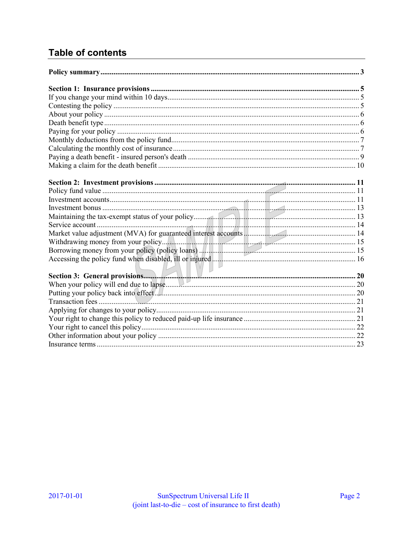# **Table of contents**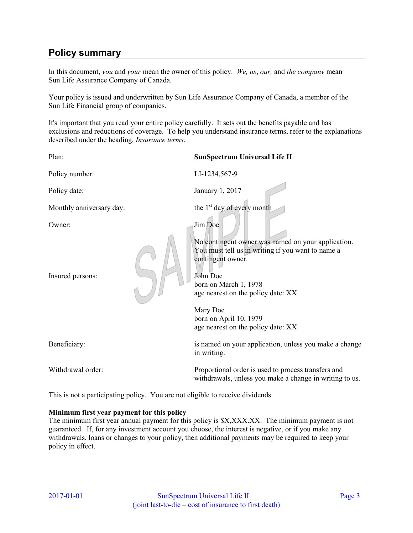# **Policy summary**

In this document, *you* and *your* mean the owner of this policy. *We, us*, *our,* and *the company* mean Sun Life Assurance Company of Canada.

Your policy is issued and underwritten by Sun Life Assurance Company of Canada, a member of the Sun Life Financial group of companies.

It's important that you read your entire policy carefully. It sets out the benefits payable and has exclusions and reductions of coverage. To help you understand insurance terms, refer to the explanations described under the heading, *Insurance terms*.

Plan: **SunSpectrum Universal Life II** Policy number: LI-1234,567-9 Policy date: January 1, 2017 Monthly anniversary day: the  $1<sup>st</sup>$  day of every month Owner: Jim Doe No contingent owner was named on your application. You must tell us in writing if you want to name a contingent owner. Insured persons: John Doe born on March 1, 1978 age nearest on the policy date: XX Mary Doe born on April 10, 1979 age nearest on the policy date: XX Beneficiary: is named on your application, unless you make a change in writing. Withdrawal order: Proportional order is used to process transfers and withdrawals, unless you make a change in writing to us.

This is not a participating policy. You are not eligible to receive dividends.

#### **Minimum first year payment for this policy**

The minimum first year annual payment for this policy is \$X,XXX.XX. The minimum payment is not guaranteed. If, for any investment account you choose, the interest is negative, or if you make any withdrawals, loans or changes to your policy, then additional payments may be required to keep your policy in effect.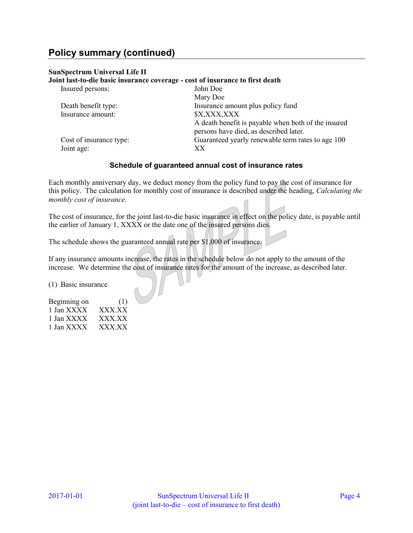# **Policy summary (continued)**

#### **SunSpectrum Universal Life II**

#### **Joint last-to-die basic insurance coverage - cost of insurance to first death**

| Insured persons:                      | John Doe                                                                                      |  |
|---------------------------------------|-----------------------------------------------------------------------------------------------|--|
|                                       | Mary Doe                                                                                      |  |
| Death benefit type:                   | Insurance amount plus policy fund                                                             |  |
| Insurance amount:                     | \$X,XXX,XXX                                                                                   |  |
|                                       | A death benefit is payable when both of the insured<br>persons have died, as described later. |  |
| Cost of insurance type:<br>Joint age: | Guaranteed yearly renewable term rates to age 100<br>XX                                       |  |
|                                       |                                                                                               |  |

#### **Schedule of guaranteed annual cost of insurance rates**

Each monthly anniversary day, we deduct money from the policy fund to pay the cost of insurance for this policy. The calculation for monthly cost of insurance is described under the heading, *Calculating the monthly cost of insurance.*

The cost of insurance, for the joint last-to-die basic insurance in effect on the policy date, is payable until the earlier of January 1, XXXX or the date one of the insured persons dies.

The schedule shows the guaranteed annual rate per \$1,000 of insurance.

If any insurance amounts increase, the rates in the schedule below do not apply to the amount of the increase. We determine the cost of insurance rates for the amount of the increase, as described later.

(1) Basic insurance

| Beginning on | (1)    |
|--------------|--------|
| 1 Jan XXXX   | XXX.XX |
| 1 Jan XXXX   | XXX.XX |
| 1 Jan XXXX   | XXX.XX |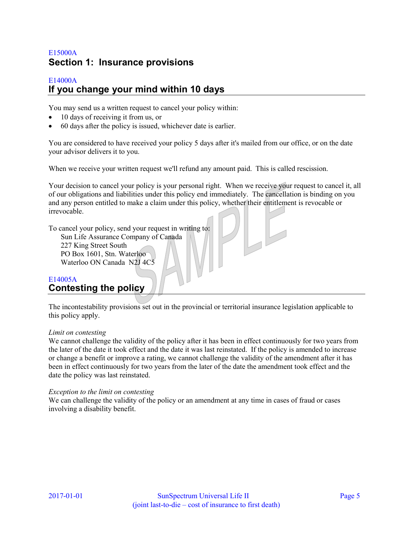# E15000A **Section 1: Insurance provisions**

## E14000A **If you change your mind within 10 days**

You may send us a written request to cancel your policy within:

- 10 days of receiving it from us, or
- 60 days after the policy is issued, whichever date is earlier.

You are considered to have received your policy 5 days after it's mailed from our office, or on the date your advisor delivers it to you.

When we receive your written request we'll refund any amount paid. This is called rescission.

Your decision to cancel your policy is your personal right. When we receive your request to cancel it, all of our obligations and liabilities under this policy end immediately. The cancellation is binding on you and any person entitled to make a claim under this policy, whether their entitlement is revocable or irrevocable.

To cancel your policy, send your request in writing to: Sun Life Assurance Company of Canada 227 King Street South PO Box 1601, Stn. Waterloo Waterloo ON Canada N2J 4C5

# E14005A **Contesting the policy**

The incontestability provisions set out in the provincial or territorial insurance legislation applicable to this policy apply.

#### *Limit on contesting*

We cannot challenge the validity of the policy after it has been in effect continuously for two years from the later of the date it took effect and the date it was last reinstated. If the policy is amended to increase or change a benefit or improve a rating, we cannot challenge the validity of the amendment after it has been in effect continuously for two years from the later of the date the amendment took effect and the date the policy was last reinstated.

#### *Exception to the limit on contesting*

We can challenge the validity of the policy or an amendment at any time in cases of fraud or cases involving a disability benefit.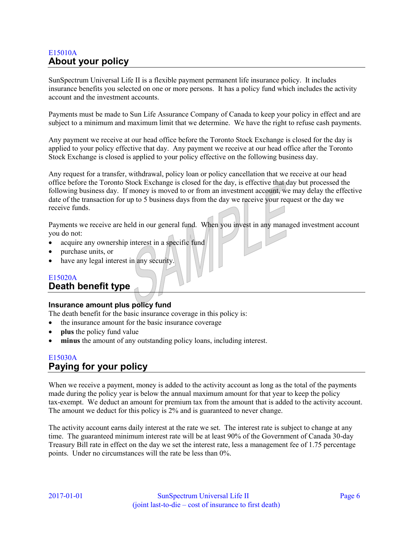# E15010A **About your policy**

SunSpectrum Universal Life II is a flexible payment permanent life insurance policy. It includes insurance benefits you selected on one or more persons. It has a policy fund which includes the activity account and the investment accounts.

Payments must be made to Sun Life Assurance Company of Canada to keep your policy in effect and are subject to a minimum and maximum limit that we determine. We have the right to refuse cash payments.

Any payment we receive at our head office before the Toronto Stock Exchange is closed for the day is applied to your policy effective that day. Any payment we receive at our head office after the Toronto Stock Exchange is closed is applied to your policy effective on the following business day.

Any request for a transfer, withdrawal, policy loan or policy cancellation that we receive at our head office before the Toronto Stock Exchange is closed for the day, is effective that day but processed the following business day. If money is moved to or from an investment account, we may delay the effective date of the transaction for up to 5 business days from the day we receive your request or the day we receive funds.

Payments we receive are held in our general fund. When you invest in any managed investment account you do not:

- acquire any ownership interest in a specific fund
- purchase units, or
- have any legal interest in any security.

# E15020A

## **Death benefit type**

#### **Insurance amount plus policy fund**

The death benefit for the basic insurance coverage in this policy is:

- the insurance amount for the basic insurance coverage
- **plus** the policy fund value
- **minus** the amount of any outstanding policy loans, including interest.

## E15030A **Paying for your policy**

When we receive a payment, money is added to the activity account as long as the total of the payments made during the policy year is below the annual maximum amount for that year to keep the policy tax-exempt. We deduct an amount for premium tax from the amount that is added to the activity account. The amount we deduct for this policy is 2% and is guaranteed to never change.

The activity account earns daily interest at the rate we set. The interest rate is subject to change at any time. The guaranteed minimum interest rate will be at least 90% of the Government of Canada 30-day Treasury Bill rate in effect on the day we set the interest rate, less a management fee of 1.75 percentage points. Under no circumstances will the rate be less than 0%.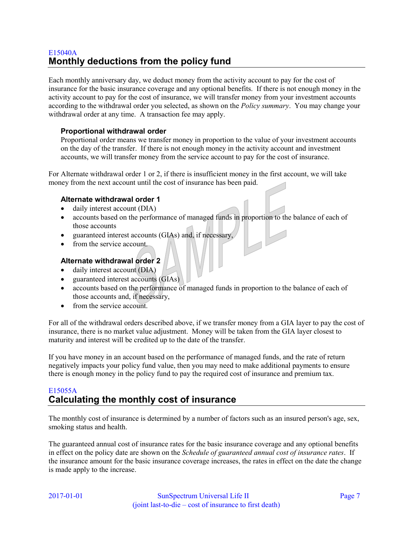# E15040A **Monthly deductions from the policy fund**

Each monthly anniversary day, we deduct money from the activity account to pay for the cost of insurance for the basic insurance coverage and any optional benefits. If there is not enough money in the activity account to pay for the cost of insurance, we will transfer money from your investment accounts according to the withdrawal order you selected, as shown on the *Policy summary*. You may change your withdrawal order at any time. A transaction fee may apply.

### **Proportional withdrawal order**

Proportional order means we transfer money in proportion to the value of your investment accounts on the day of the transfer. If there is not enough money in the activity account and investment accounts, we will transfer money from the service account to pay for the cost of insurance.

For Alternate withdrawal order 1 or 2, if there is insufficient money in the first account, we will take money from the next account until the cost of insurance has been paid.

### **Alternate withdrawal order 1**

- daily interest account (DIA)
- accounts based on the performance of managed funds in proportion to the balance of each of those accounts
- guaranteed interest accounts (GIAs) and, if necessary,
- from the service account.

## **Alternate withdrawal order 2**

- daily interest account (DIA)
- guaranteed interest accounts (GIAs)
- accounts based on the performance of managed funds in proportion to the balance of each of those accounts and, if necessary,
- from the service account.

For all of the withdrawal orders described above, if we transfer money from a GIA layer to pay the cost of insurance, there is no market value adjustment. Money will be taken from the GIA layer closest to maturity and interest will be credited up to the date of the transfer.

If you have money in an account based on the performance of managed funds, and the rate of return negatively impacts your policy fund value, then you may need to make additional payments to ensure there is enough money in the policy fund to pay the required cost of insurance and premium tax.

# E15055A **Calculating the monthly cost of insurance**

The monthly cost of insurance is determined by a number of factors such as an insured person's age, sex, smoking status and health.

The guaranteed annual cost of insurance rates for the basic insurance coverage and any optional benefits in effect on the policy date are shown on the *Schedule of guaranteed annual cost of insurance rates*. If the insurance amount for the basic insurance coverage increases, the rates in effect on the date the change is made apply to the increase.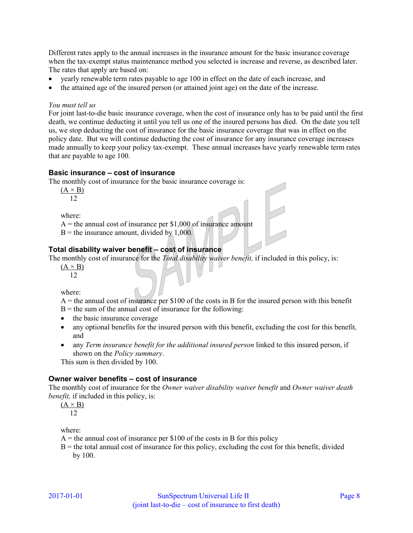Different rates apply to the annual increases in the insurance amount for the basic insurance coverage when the tax-exempt status maintenance method you selected is increase and reverse, as described later. The rates that apply are based on:

- yearly renewable term rates payable to age 100 in effect on the date of each increase, and
- the attained age of the insured person (or attained joint age) on the date of the increase.

#### *You must tell us*

For joint last-to-die basic insurance coverage, when the cost of insurance only has to be paid until the first death, we continue deducting it until you tell us one of the insured persons has died. On the date you tell us, we stop deducting the cost of insurance for the basic insurance coverage that was in effect on the policy date. But we will continue deducting the cost of insurance for any insurance coverage increases made annually to keep your policy tax-exempt. These annual increases have yearly renewable term rates that are payable to age 100.

#### **Basic insurance – cost of insurance**

The monthly cost of insurance for the basic insurance coverage is:

 $(A \times B)$ 

12

where:

 $A =$  the annual cost of insurance per \$1,000 of insurance amount

 $B =$  the insurance amount, divided by 1,000.

## **Total disability waiver benefit – cost of insurance**

The monthly cost of insurance for the *Total disability waiver benefit,* if included in this policy, is:

 $(A \times B)$ 12

where:

 $A =$  the annual cost of insurance per \$100 of the costs in B for the insured person with this benefit

 $B =$  the sum of the annual cost of insurance for the following:

- the basic insurance coverage
- any optional benefits for the insured person with this benefit, excluding the cost for this benefit*,* and
- any *Term insurance benefit for the additional insured person* linked to this insured person, if shown on the *Policy summary*.

This sum is then divided by 100.

#### **Owner waiver benefits – cost of insurance**

The monthly cost of insurance for the *Owner waiver disability waiver benefit* and *Owner waiver death benefit,* if included in this policy, is:

 $(A \times B)$ 12

where:

 $A =$  the annual cost of insurance per \$100 of the costs in B for this policy

 $B =$  the total annual cost of insurance for this policy, excluding the cost for this benefit, divided by 100.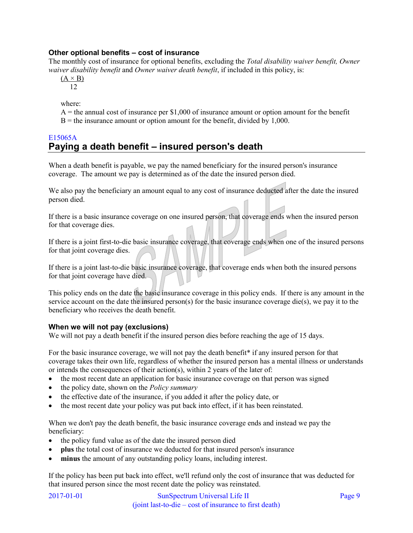## **Other optional benefits – cost of insurance**

The monthly cost of insurance for optional benefits, excluding the *Total disability waiver benefit, Owner waiver disability benefit* and *Owner waiver death benefit*, if included in this policy, is:

 $(A \times B)$ 12

where:

 $A =$  the annual cost of insurance per \$1,000 of insurance amount or option amount for the benefit  $B =$  the insurance amount or option amount for the benefit, divided by 1,000.

## E15065A **Paying a death benefit – insured person's death**

When a death benefit is payable, we pay the named beneficiary for the insured person's insurance coverage. The amount we pay is determined as of the date the insured person died.

We also pay the beneficiary an amount equal to any cost of insurance deducted after the date the insured person died.

If there is a basic insurance coverage on one insured person, that coverage ends when the insured person for that coverage dies.

If there is a joint first-to-die basic insurance coverage, that coverage ends when one of the insured persons for that joint coverage dies.

If there is a joint last-to-die basic insurance coverage, that coverage ends when both the insured persons for that joint coverage have died.

This policy ends on the date the basic insurance coverage in this policy ends. If there is any amount in the service account on the date the insured person(s) for the basic insurance coverage die(s), we pay it to the beneficiary who receives the death benefit.

## **When we will not pay (exclusions)**

We will not pay a death benefit if the insured person dies before reaching the age of 15 days.

For the basic insurance coverage, we will not pay the death benefit\* if any insured person for that coverage takes their own life, regardless of whether the insured person has a mental illness or understands or intends the consequences of their action(s), within 2 years of the later of:

- the most recent date an application for basic insurance coverage on that person was signed
- the policy date, shown on the *Policy summary*
- the effective date of the insurance, if you added it after the policy date, or
- the most recent date your policy was put back into effect, if it has been reinstated.

When we don't pay the death benefit, the basic insurance coverage ends and instead we pay the beneficiary:

- the policy fund value as of the date the insured person died
- **plus** the total cost of insurance we deducted for that insured person's insurance
- **minus** the amount of any outstanding policy loans, including interest.

If the policy has been put back into effect, we'll refund only the cost of insurance that was deducted for that insured person since the most recent date the policy was reinstated.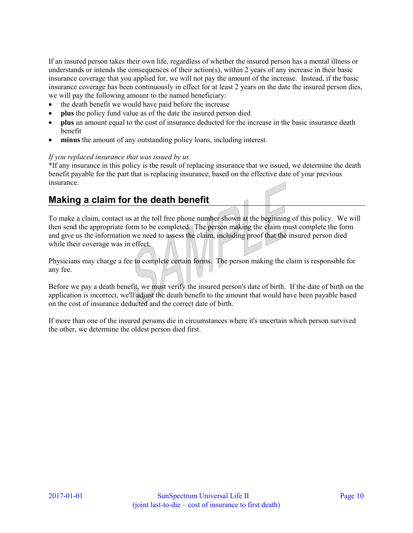If an insured person takes their own life, regardless of whether the insured person has a mental illness or understands or intends the consequences of their action(s), within 2 years of any increase in their basic insurance coverage that you applied for, we will not pay the amount of the increase. Instead, if the basic insurance coverage has been continuously in effect for at least 2 years on the date the insured person dies, we will pay the following amount to the named beneficiary:

- the death benefit we would have paid before the increase
- **plus** the policy fund value as of the date the insured person died
- **plus** an amount equal to the cost of insurance deducted for the increase in the basic insurance death benefit
- **minus** the amount of any outstanding policy loans, including interest.

#### *If you replaced insurance that was issued by us*

\*If any insurance in this policy is the result of replacing insurance that we issued, we determine the death benefit payable for the part that is replacing insurance, based on the effective date of your previous insurance.

# **Making a claim for the death benefit**

To make a claim, contact us at the toll free phone number shown at the beginning of this policy. We will then send the appropriate form to be completed. The person making the claim must complete the form and give us the information we need to assess the claim, including proof that the insured person died while their coverage was in effect.

Physicians may charge a fee to complete certain forms. The person making the claim is responsible for any fee.

Before we pay a death benefit, we must verify the insured person's date of birth. If the date of birth on the application is incorrect, we'll adjust the death benefit to the amount that would have been payable based on the cost of insurance deducted and the correct date of birth.

If more than one of the insured persons die in circumstances where it's uncertain which person survived the other, we determine the oldest person died first.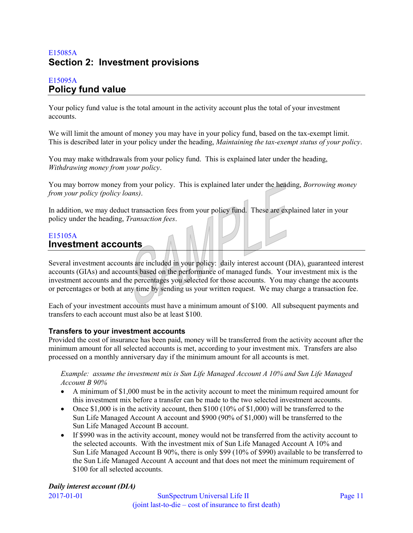# E15085A **Section 2: Investment provisions**

# E15095A **Policy fund value**

Your policy fund value is the total amount in the activity account plus the total of your investment accounts.

We will limit the amount of money you may have in your policy fund, based on the tax-exempt limit. This is described later in your policy under the heading, *Maintaining the tax-exempt status of your policy*.

You may make withdrawals from your policy fund. This is explained later under the heading, *Withdrawing money from your policy*.

You may borrow money from your policy. This is explained later under the heading, *Borrowing money from your policy (policy loans)*.

In addition, we may deduct transaction fees from your policy fund. These are explained later in your policy under the heading, *Transaction fees*.

# E15105A **Investment accounts**

Several investment accounts are included in your policy: daily interest account (DIA), guaranteed interest accounts (GIAs) and accounts based on the performance of managed funds. Your investment mix is the investment accounts and the percentages you selected for those accounts. You may change the accounts or percentages or both at any time by sending us your written request. We may charge a transaction fee.

Each of your investment accounts must have a minimum amount of \$100. All subsequent payments and transfers to each account must also be at least \$100.

## **Transfers to your investment accounts**

Provided the cost of insurance has been paid, money will be transferred from the activity account after the minimum amount for all selected accounts is met, according to your investment mix. Transfers are also processed on a monthly anniversary day if the minimum amount for all accounts is met.

*Example: assume the investment mix is Sun Life Managed Account A 10% and Sun Life Managed Account B 90%*

- A minimum of \$1,000 must be in the activity account to meet the minimum required amount for this investment mix before a transfer can be made to the two selected investment accounts.
- Once \$1,000 is in the activity account, then  $$100 (10\% \text{ of } $1,000)$  will be transferred to the Sun Life Managed Account A account and \$900 (90% of \$1,000) will be transferred to the Sun Life Managed Account B account.
- If \$990 was in the activity account, money would not be transferred from the activity account to the selected accounts. With the investment mix of Sun Life Managed Account A 10% and Sun Life Managed Account B 90%, there is only \$99 (10% of \$990) available to be transferred to the Sun Life Managed Account A account and that does not meet the minimum requirement of \$100 for all selected accounts.

# *Daily interest account (DIA)*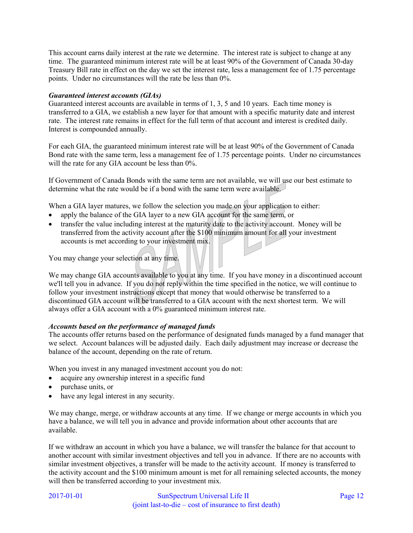This account earns daily interest at the rate we determine. The interest rate is subject to change at any time. The guaranteed minimum interest rate will be at least 90% of the Government of Canada 30-day Treasury Bill rate in effect on the day we set the interest rate, less a management fee of 1.75 percentage points. Under no circumstances will the rate be less than 0%.

#### *Guaranteed interest accounts (GIAs)*

Guaranteed interest accounts are available in terms of 1, 3, 5 and 10 years. Each time money is transferred to a GIA, we establish a new layer for that amount with a specific maturity date and interest rate. The interest rate remains in effect for the full term of that account and interest is credited daily. Interest is compounded annually.

For each GIA, the guaranteed minimum interest rate will be at least 90% of the Government of Canada Bond rate with the same term, less a management fee of 1.75 percentage points. Under no circumstances will the rate for any GIA account be less than  $0\%$ .

If Government of Canada Bonds with the same term are not available, we will use our best estimate to determine what the rate would be if a bond with the same term were available.

When a GIA layer matures, we follow the selection you made on your application to either:

- apply the balance of the GIA layer to a new GIA account for the same term, or
- transfer the value including interest at the maturity date to the activity account. Money will be transferred from the activity account after the \$100 minimum amount for all your investment accounts is met according to your investment mix.

You may change your selection at any time.

We may change GIA accounts available to you at any time. If you have money in a discontinued account we'll tell you in advance. If you do not reply within the time specified in the notice, we will continue to follow your investment instructions except that money that would otherwise be transferred to a discontinued GIA account will be transferred to a GIA account with the next shortest term. We will always offer a GIA account with a 0% guaranteed minimum interest rate.

#### *Accounts based on the performance of managed funds*

The accounts offer returns based on the performance of designated funds managed by a fund manager that we select. Account balances will be adjusted daily. Each daily adjustment may increase or decrease the balance of the account, depending on the rate of return.

When you invest in any managed investment account you do not:

- acquire any ownership interest in a specific fund
- purchase units, or
- have any legal interest in any security.

We may change, merge, or withdraw accounts at any time. If we change or merge accounts in which you have a balance, we will tell you in advance and provide information about other accounts that are available.

If we withdraw an account in which you have a balance, we will transfer the balance for that account to another account with similar investment objectives and tell you in advance. If there are no accounts with similar investment objectives, a transfer will be made to the activity account. If money is transferred to the activity account and the \$100 minimum amount is met for all remaining selected accounts, the money will then be transferred according to your investment mix.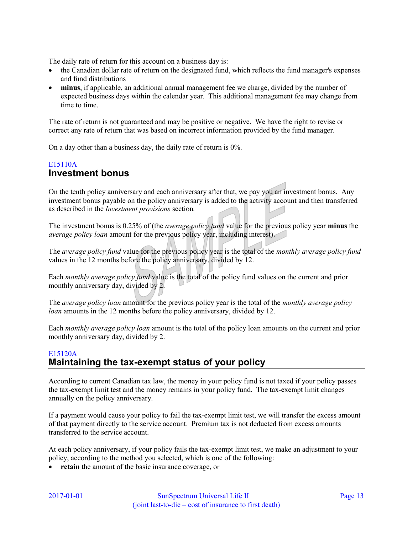The daily rate of return for this account on a business day is:

- the Canadian dollar rate of return on the designated fund, which reflects the fund manager's expenses and fund distributions
- **minus**, if applicable, an additional annual management fee we charge, divided by the number of expected business days within the calendar year. This additional management fee may change from time to time.

The rate of return is not guaranteed and may be positive or negative. We have the right to revise or correct any rate of return that was based on incorrect information provided by the fund manager.

On a day other than a business day, the daily rate of return is 0%.

## E15110A **Investment bonus**

On the tenth policy anniversary and each anniversary after that, we pay you an investment bonus. Any investment bonus payable on the policy anniversary is added to the activity account and then transferred as described in the *Investment provisions* section*.*

The investment bonus is 0.25% of (the *average policy fund* value for the previous policy year **minus** the *average policy loan* amount for the previous policy year, including interest).

The *average policy fund* value for the previous policy year is the total of the *monthly average policy fund* values in the 12 months before the policy anniversary, divided by 12.

Each *monthly average policy fund* value is the total of the policy fund values on the current and prior monthly anniversary day, divided by 2.

The *average policy loan* amount for the previous policy year is the total of the *monthly average policy loan* amounts in the 12 months before the policy anniversary, divided by 12.

Each *monthly average policy loan* amount is the total of the policy loan amounts on the current and prior monthly anniversary day, divided by 2.

# E15120A **Maintaining the tax-exempt status of your policy**

According to current Canadian tax law, the money in your policy fund is not taxed if your policy passes the tax-exempt limit test and the money remains in your policy fund. The tax-exempt limit changes annually on the policy anniversary.

If a payment would cause your policy to fail the tax-exempt limit test, we will transfer the excess amount of that payment directly to the service account. Premium tax is not deducted from excess amounts transferred to the service account.

At each policy anniversary, if your policy fails the tax-exempt limit test, we make an adjustment to your policy, according to the method you selected, which is one of the following:

**•** retain the amount of the basic insurance coverage, or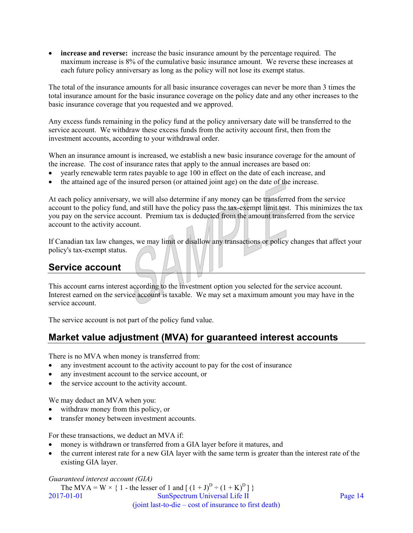**increase and reverse:** increase the basic insurance amount by the percentage required. The maximum increase is 8% of the cumulative basic insurance amount. We reverse these increases at each future policy anniversary as long as the policy will not lose its exempt status.

The total of the insurance amounts for all basic insurance coverages can never be more than 3 times the total insurance amount for the basic insurance coverage on the policy date and any other increases to the basic insurance coverage that you requested and we approved.

Any excess funds remaining in the policy fund at the policy anniversary date will be transferred to the service account. We withdraw these excess funds from the activity account first, then from the investment accounts, according to your withdrawal order.

When an insurance amount is increased, we establish a new basic insurance coverage for the amount of the increase. The cost of insurance rates that apply to the annual increases are based on:

- yearly renewable term rates payable to age 100 in effect on the date of each increase, and
- the attained age of the insured person (or attained joint age) on the date of the increase.

At each policy anniversary, we will also determine if any money can be transferred from the service account to the policy fund, and still have the policy pass the tax-exempt limit test. This minimizes the tax you pay on the service account. Premium tax is deducted from the amount transferred from the service account to the activity account.

If Canadian tax law changes, we may limit or disallow any transactions or policy changes that affect your policy's tax-exempt status.

# **Service account**

This account earns interest according to the investment option you selected for the service account. Interest earned on the service account is taxable. We may set a maximum amount you may have in the service account.

The service account is not part of the policy fund value.

# **Market value adjustment (MVA) for guaranteed interest accounts**

There is no MVA when money is transferred from:

- any investment account to the activity account to pay for the cost of insurance
- any investment account to the service account, or
- the service account to the activity account.

We may deduct an MVA when you:

- withdraw money from this policy, or
- transfer money between investment accounts.

For these transactions, we deduct an MVA if:

- money is withdrawn or transferred from a GIA layer before it matures, and
- the current interest rate for a new GIA layer with the same term is greater than the interest rate of the existing GIA layer.

*Guaranteed interest account (GIA)*

2017-01-01 SunSpectrum Universal Life II Page 14 (joint last-to-die – cost of insurance to first death) The MVA = W  $\times$  { 1 - the lesser of 1 and  $[(1 + J)^D \div (1 + K)^D]$ }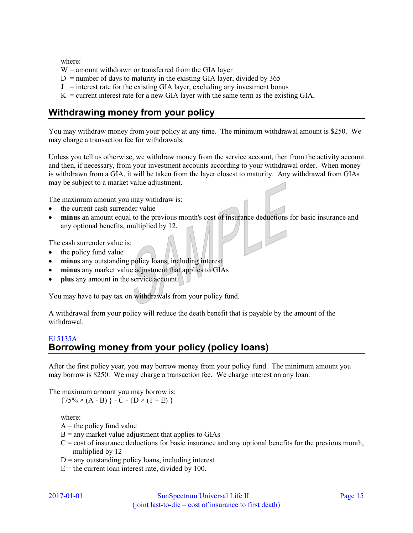where:

- $W =$  amount withdrawn or transferred from the GIA layer
- $D =$  number of days to maturity in the existing GIA layer, divided by 365
- $J =$  interest rate for the existing GIA layer, excluding any investment bonus
- $K =$  current interest rate for a new GIA layer with the same term as the existing GIA.

# **Withdrawing money from your policy**

You may withdraw money from your policy at any time. The minimum withdrawal amount is \$250. We may charge a transaction fee for withdrawals.

Unless you tell us otherwise, we withdraw money from the service account, then from the activity account and then, if necessary, from your investment accounts according to your withdrawal order. When money is withdrawn from a GIA, it will be taken from the layer closest to maturity. Any withdrawal from GIAs may be subject to a market value adjustment.

The maximum amount you may withdraw is:

- the current cash surrender value
- **minus** an amount equal to the previous month's cost of insurance deductions for basic insurance and any optional benefits, multiplied by 12.

The cash surrender value is:

- $\bullet$  the policy fund value
- **minus** any outstanding policy loans, including interest
- **minus** any market value adjustment that applies to GIAs
- **plus** any amount in the service account.

You may have to pay tax on withdrawals from your policy fund.

A withdrawal from your policy will reduce the death benefit that is payable by the amount of the withdrawal.

## E15135A **Borrowing money from your policy (policy loans)**

After the first policy year, you may borrow money from your policy fund. The minimum amount you may borrow is \$250. We may charge a transaction fee. We charge interest on any loan.

The maximum amount you may borrow is:

 ${75\% \times (A - B)} - C - {D \times (1 + E)}$ 

where:

- $A =$  the policy fund value
- $B =$  any market value adjustment that applies to GIAs
- $C = \text{cost of insurance deductions}$  for basic insurance and any optional benefits for the previous month, multiplied by 12
- $D =$  any outstanding policy loans, including interest
- $E =$  the current loan interest rate, divided by 100.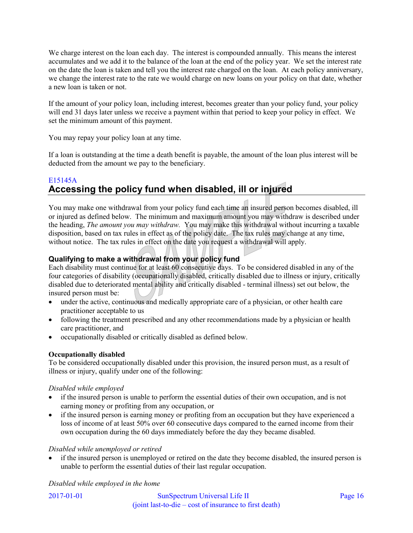We charge interest on the loan each day. The interest is compounded annually. This means the interest accumulates and we add it to the balance of the loan at the end of the policy year. We set the interest rate on the date the loan is taken and tell you the interest rate charged on the loan. At each policy anniversary, we change the interest rate to the rate we would charge on new loans on your policy on that date, whether a new loan is taken or not.

If the amount of your policy loan, including interest, becomes greater than your policy fund, your policy will end 31 days later unless we receive a payment within that period to keep your policy in effect. We set the minimum amount of this payment.

You may repay your policy loan at any time.

If a loan is outstanding at the time a death benefit is payable, the amount of the loan plus interest will be deducted from the amount we pay to the beneficiary.

# E15145A **Accessing the policy fund when disabled, ill or injured**

You may make one withdrawal from your policy fund each time an insured person becomes disabled, ill or injured as defined below. The minimum and maximum amount you may withdraw is described under the heading, *The amount you may withdraw.* You may make this withdrawal without incurring a taxable disposition, based on tax rules in effect as of the policy date. The tax rules may change at any time, without notice. The tax rules in effect on the date you request a withdrawal will apply.

## **Qualifying to make a withdrawal from your policy fund**

Each disability must continue for at least 60 consecutive days. To be considered disabled in any of the four categories of disability (occupationally disabled, critically disabled due to illness or injury, critically disabled due to deteriorated mental ability and critically disabled - terminal illness) set out below, the insured person must be:

- under the active, continuous and medically appropriate care of a physician, or other health care practitioner acceptable to us
- following the treatment prescribed and any other recommendations made by a physician or health care practitioner, and
- occupationally disabled or critically disabled as defined below.

## **Occupationally disabled**

To be considered occupationally disabled under this provision, the insured person must, as a result of illness or injury, qualify under one of the following:

## *Disabled while employed*

- if the insured person is unable to perform the essential duties of their own occupation, and is not earning money or profiting from any occupation, or
- if the insured person is earning money or profiting from an occupation but they have experienced a loss of income of at least 50% over 60 consecutive days compared to the earned income from their own occupation during the 60 days immediately before the day they became disabled.

#### *Disabled while unemployed or retired*

 if the insured person is unemployed or retired on the date they become disabled, the insured person is unable to perform the essential duties of their last regular occupation.

*Disabled while employed in the home*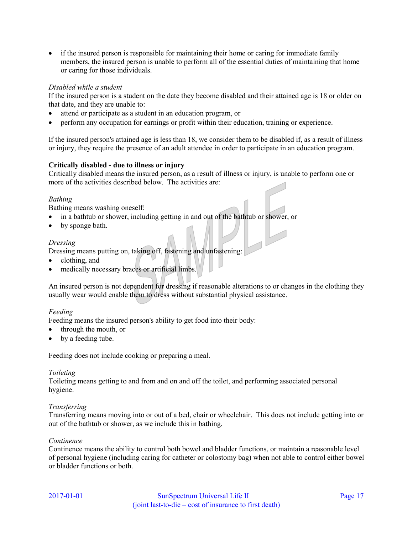• if the insured person is responsible for maintaining their home or caring for immediate family members, the insured person is unable to perform all of the essential duties of maintaining that home or caring for those individuals.

#### *Disabled while a student*

If the insured person is a student on the date they become disabled and their attained age is 18 or older on that date, and they are unable to:

- attend or participate as a student in an education program, or
- perform any occupation for earnings or profit within their education, training or experience.

If the insured person's attained age is less than 18, we consider them to be disabled if, as a result of illness or injury, they require the presence of an adult attendee in order to participate in an education program.

#### **Critically disabled - due to illness or injury**

Critically disabled means the insured person, as a result of illness or injury, is unable to perform one or more of the activities described below. The activities are:

#### *Bathing*

Bathing means washing oneself:

- in a bathtub or shower, including getting in and out of the bathtub or shower, or
- by sponge bath.

#### *Dressing*

Dressing means putting on, taking off, fastening and unfastening:

- clothing, and
- medically necessary braces or artificial limbs.

An insured person is not dependent for dressing if reasonable alterations to or changes in the clothing they usually wear would enable them to dress without substantial physical assistance.

#### *Feeding*

Feeding means the insured person's ability to get food into their body:

- through the mouth, or
- by a feeding tube.

Feeding does not include cooking or preparing a meal.

#### *Toileting*

Toileting means getting to and from and on and off the toilet, and performing associated personal hygiene.

#### *Transferring*

Transferring means moving into or out of a bed, chair or wheelchair. This does not include getting into or out of the bathtub or shower, as we include this in bathing.

#### *Continence*

Continence means the ability to control both bowel and bladder functions, or maintain a reasonable level of personal hygiene (including caring for catheter or colostomy bag) when not able to control either bowel or bladder functions or both.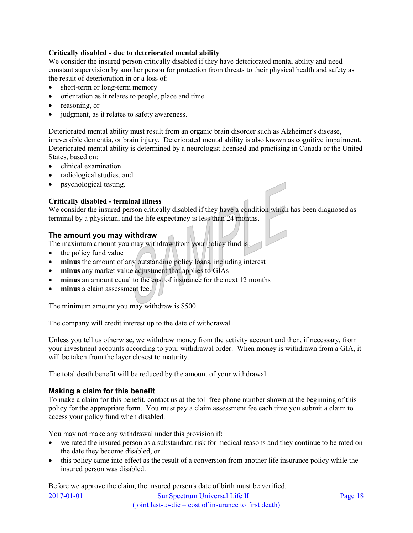### **Critically disabled - due to deteriorated mental ability**

We consider the insured person critically disabled if they have deteriorated mental ability and need constant supervision by another person for protection from threats to their physical health and safety as the result of deterioration in or a loss of:

- short-term or long-term memory
- orientation as it relates to people, place and time
- reasoning, or
- judgment, as it relates to safety awareness.

Deteriorated mental ability must result from an organic brain disorder such as Alzheimer's disease, irreversible dementia, or brain injury. Deteriorated mental ability is also known as cognitive impairment. Deteriorated mental ability is determined by a neurologist licensed and practising in Canada or the United States, based on:

- clinical examination
- radiological studies, and
- psychological testing.

#### **Critically disabled - terminal illness**

We consider the insured person critically disabled if they have a condition which has been diagnosed as terminal by a physician, and the life expectancy is less than 24 months.

#### **The amount you may withdraw**

The maximum amount you may withdraw from your policy fund is:

- $\bullet$  the policy fund value
- **minus** the amount of any outstanding policy loans, including interest
- **minus** any market value adjustment that applies to GIAs
- **minus** an amount equal to the cost of insurance for the next 12 months
- **minus** a claim assessment fee.

The minimum amount you may withdraw is \$500.

The company will credit interest up to the date of withdrawal.

Unless you tell us otherwise, we withdraw money from the activity account and then, if necessary, from your investment accounts according to your withdrawal order. When money is withdrawn from a GIA, it will be taken from the layer closest to maturity.

The total death benefit will be reduced by the amount of your withdrawal.

#### **Making a claim for this benefit**

To make a claim for this benefit, contact us at the toll free phone number shown at the beginning of this policy for the appropriate form. You must pay a claim assessment fee each time you submit a claim to access your policy fund when disabled.

You may not make any withdrawal under this provision if:

- we rated the insured person as a substandard risk for medical reasons and they continue to be rated on the date they become disabled, or
- this policy came into effect as the result of a conversion from another life insurance policy while the insured person was disabled.

Before we approve the claim, the insured person's date of birth must be verified.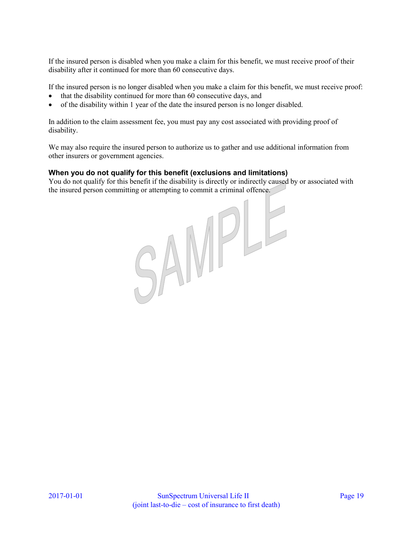If the insured person is disabled when you make a claim for this benefit, we must receive proof of their disability after it continued for more than 60 consecutive days.

If the insured person is no longer disabled when you make a claim for this benefit, we must receive proof:

- that the disability continued for more than 60 consecutive days, and
- of the disability within 1 year of the date the insured person is no longer disabled.

In addition to the claim assessment fee, you must pay any cost associated with providing proof of disability.

We may also require the insured person to authorize us to gather and use additional information from other insurers or government agencies.

## **When you do not qualify for this benefit (exclusions and limitations)**

You do not qualify for this benefit if the disability is directly or indirectly caused by or associated with

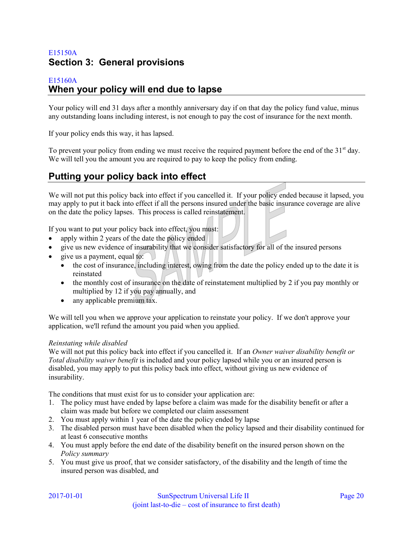# E15150A **Section 3: General provisions**

## E15160A **When your policy will end due to lapse**

Your policy will end 31 days after a monthly anniversary day if on that day the policy fund value, minus any outstanding loans including interest, is not enough to pay the cost of insurance for the next month.

If your policy ends this way, it has lapsed.

To prevent your policy from ending we must receive the required payment before the end of the  $31<sup>st</sup>$  day. We will tell you the amount you are required to pay to keep the policy from ending.

# **Putting your policy back into effect**

We will not put this policy back into effect if you cancelled it. If your policy ended because it lapsed, you may apply to put it back into effect if all the persons insured under the basic insurance coverage are alive on the date the policy lapses. This process is called reinstatement.

If you want to put your policy back into effect, you must:

- apply within 2 years of the date the policy ended
- give us new evidence of insurability that we consider satisfactory for all of the insured persons
- give us a payment, equal to:
	- the cost of insurance, including interest, owing from the date the policy ended up to the date it is reinstated
	- $\bullet$  the monthly cost of insurance on the date of reinstatement multiplied by 2 if you pay monthly or multiplied by 12 if you pay annually, and
	- any applicable premium tax.

We will tell you when we approve your application to reinstate your policy. If we don't approve your application, we'll refund the amount you paid when you applied.

#### *Reinstating while disabled*

We will not put this policy back into effect if you cancelled it. If an *Owner waiver disability benefit or Total disability waiver benefit* is included and your policy lapsed while you or an insured person is disabled, you may apply to put this policy back into effect, without giving us new evidence of insurability.

The conditions that must exist for us to consider your application are:

- 1. The policy must have ended by lapse before a claim was made for the disability benefit or after a claim was made but before we completed our claim assessment
- 2. You must apply within 1 year of the date the policy ended by lapse
- 3. The disabled person must have been disabled when the policy lapsed and their disability continued for at least 6 consecutive months
- 4. You must apply before the end date of the disability benefit on the insured person shown on the *Policy summary*
- 5. You must give us proof, that we consider satisfactory, of the disability and the length of time the insured person was disabled, and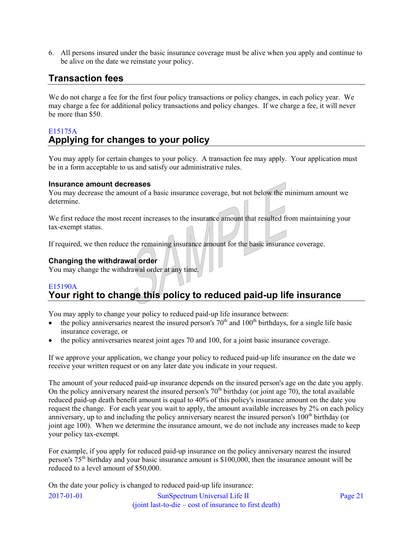6. All persons insured under the basic insurance coverage must be alive when you apply and continue to be alive on the date we reinstate your policy.

# **Transaction fees**

We do not charge a fee for the first four policy transactions or policy changes, in each policy year. We may charge a fee for additional policy transactions and policy changes. If we charge a fee, it will never be more than \$50.

# E15175A **Applying for changes to your policy**

You may apply for certain changes to your policy. A transaction fee may apply. Your application must be in a form acceptable to us and satisfy our administrative rules.

#### **Insurance amount decreases**

You may decrease the amount of a basic insurance coverage, but not below the minimum amount we determine.

We first reduce the most recent increases to the insurance amount that resulted from maintaining your tax-exempt status.

If required, we then reduce the remaining insurance amount for the basic insurance coverage.

## **Changing the withdrawal order**

You may change the withdrawal order at any time.

## E15190A **Your right to change this policy to reduced paid-up life insurance**

You may apply to change your policy to reduced paid-up life insurance between:

- $\bullet$  the policy anniversaries nearest the insured person's  $70<sup>th</sup>$  and  $100<sup>th</sup>$  birthdays, for a single life basic insurance coverage, or
- the policy anniversaries nearest joint ages 70 and 100, for a joint basic insurance coverage.

If we approve your application, we change your policy to reduced paid-up life insurance on the date we receive your written request or on any later date you indicate in your request.

The amount of your reduced paid-up insurance depends on the insured person's age on the date you apply. On the policy anniversary nearest the insured person's  $70<sup>th</sup>$  birthday (or joint age 70), the total available reduced paid-up death benefit amount is equal to 40% of this policy's insurance amount on the date you request the change. For each year you wait to apply, the amount available increases by 2% on each policy anniversary, up to and including the policy anniversary nearest the insured person's  $100<sup>th</sup>$  birthday (or joint age 100). When we determine the insurance amount, we do not include any increases made to keep your policy tax-exempt.

For example, if you apply for reduced paid-up insurance on the policy anniversary nearest the insured person's 75th birthday and your basic insurance amount is \$100,000, then the insurance amount will be reduced to a level amount of \$50,000.

On the date your policy is changed to reduced paid-up life insurance: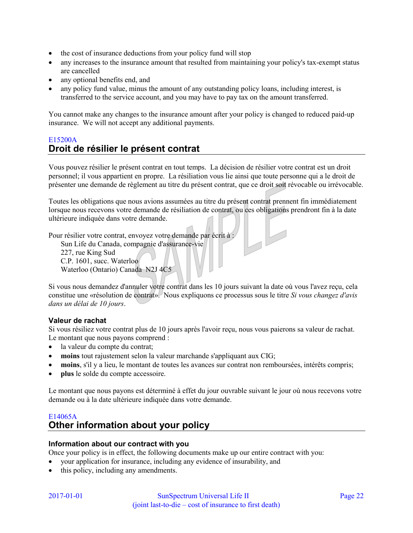- the cost of insurance deductions from your policy fund will stop
- any increases to the insurance amount that resulted from maintaining your policy's tax-exempt status are cancelled
- any optional benefits end, and
- any policy fund value, minus the amount of any outstanding policy loans, including interest, is transferred to the service account, and you may have to pay tax on the amount transferred.

You cannot make any changes to the insurance amount after your policy is changed to reduced paid-up insurance. We will not accept any additional payments.

## E15200A **Droit de résilier le présent contrat**

Vous pouvez résilier le présent contrat en tout temps. La décision de résilier votre contrat est un droit personnel; il vous appartient en propre. La résiliation vous lie ainsi que toute personne qui a le droit de présenter une demande de règlement au titre du présent contrat, que ce droit soit révocable ou irrévocable.

Toutes les obligations que nous avions assumées au titre du présent contrat prennent fin immédiatement lorsque nous recevons votre demande de résiliation de contrat, ou ces obligations prendront fin à la date ultérieure indiquée dans votre demande.

Pour résilier votre contrat, envoyez votre demande par écrit à :

Sun Life du Canada, compagnie d'assurance-vie

227, rue King Sud C.P. 1601, succ. Waterloo Waterloo (Ontario) Canada N2J 4C5

Si vous nous demandez d'annuler votre contrat dans les 10 jours suivant la date où vous l'avez reçu, cela constitue une «résolution de contrat». Nous expliquons ce processus sous le titre *Si vous changez d'avis dans un délai de 10 jours*.

## **Valeur de rachat**

Si vous résiliez votre contrat plus de 10 jours après l'avoir reçu, nous vous paierons sa valeur de rachat. Le montant que nous payons comprend :

- la valeur du compte du contrat;
- **moins** tout rajustement selon la valeur marchande s'appliquant aux CIG;
- **moins**, s'il y a lieu, le montant de toutes les avances sur contrat non remboursées, intérêts compris;
- **plus** le solde du compte accessoire.

Le montant que nous payons est déterminé à effet du jour ouvrable suivant le jour où nous recevons votre demande ou à la date ultérieure indiquée dans votre demande.

# E14065A **Other information about your policy**

## **Information about our contract with you**

Once your policy is in effect, the following documents make up our entire contract with you:

- your application for insurance, including any evidence of insurability, and
- this policy, including any amendments.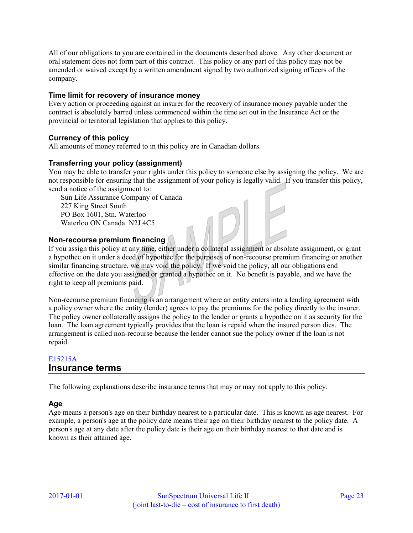All of our obligations to you are contained in the documents described above. Any other document or oral statement does not form part of this contract. This policy or any part of this policy may not be amended or waived except by a written amendment signed by two authorized signing officers of the company.

### **Time limit for recovery of insurance money**

Every action or proceeding against an insurer for the recovery of insurance money payable under the contract is absolutely barred unless commenced within the time set out in the Insurance Act or the provincial or territorial legislation that applies to this policy.

## **Currency of this policy**

All amounts of money referred to in this policy are in Canadian dollars.

## **Transferring your policy (assignment)**

You may be able to transfer your rights under this policy to someone else by assigning the policy. We are not responsible for ensuring that the assignment of your policy is legally valid. If you transfer this policy, send a notice of the assignment to:

Sun Life Assurance Company of Canada 227 King Street South PO Box 1601, Stn. Waterloo Waterloo ON Canada N2J 4C5

## **Non-recourse premium financing**

If you assign this policy at any time, either under a collateral assignment or absolute assignment, or grant a hypothec on it under a deed of hypothec for the purposes of non-recourse premium financing or another similar financing structure, we may void the policy. If we void the policy, all our obligations end effective on the date you assigned or granted a hypothec on it. No benefit is payable, and we have the right to keep all premiums paid.

Non-recourse premium financing is an arrangement where an entity enters into a lending agreement with a policy owner where the entity (lender) agrees to pay the premiums for the policy directly to the insurer. The policy owner collaterally assigns the policy to the lender or grants a hypothec on it as security for the loan. The loan agreement typically provides that the loan is repaid when the insured person dies. The arrangement is called non-recourse because the lender cannot sue the policy owner if the loan is not repaid.

## E15215A **Insurance terms**

The following explanations describe insurance terms that may or may not apply to this policy.

## **Age**

Age means a person's age on their birthday nearest to a particular date. This is known as age nearest. For example, a person's age at the policy date means their age on their birthday nearest to the policy date. A person's age at any date after the policy date is their age on their birthday nearest to that date and is known as their attained age.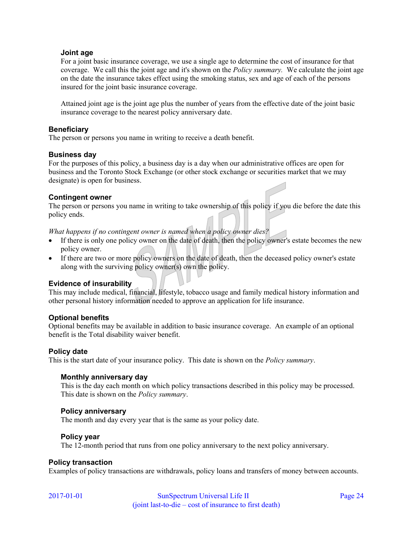### **Joint age**

For a joint basic insurance coverage, we use a single age to determine the cost of insurance for that coverage. We call this the joint age and it's shown on the *Policy summary.* We calculate the joint age on the date the insurance takes effect using the smoking status, sex and age of each of the persons insured for the joint basic insurance coverage.

Attained joint age is the joint age plus the number of years from the effective date of the joint basic insurance coverage to the nearest policy anniversary date.

#### **Beneficiary**

The person or persons you name in writing to receive a death benefit.

#### **Business day**

For the purposes of this policy, a business day is a day when our administrative offices are open for business and the Toronto Stock Exchange (or other stock exchange or securities market that we may designate) is open for business.

### **Contingent owner**

The person or persons you name in writing to take ownership of this policy if you die before the date this policy ends.

*What happens if no contingent owner is named when a policy owner dies?*

- If there is only one policy owner on the date of death, then the policy owner's estate becomes the new policy owner.
- If there are two or more policy owners on the date of death, then the deceased policy owner's estate along with the surviving policy owner(s) own the policy.

## **Evidence of insurability**

This may include medical, financial, lifestyle, tobacco usage and family medical history information and other personal history information needed to approve an application for life insurance.

## **Optional benefits**

Optional benefits may be available in addition to basic insurance coverage. An example of an optional benefit is the Total disability waiver benefit.

#### **Policy date**

This is the start date of your insurance policy. This date is shown on the *Policy summary*.

#### **Monthly anniversary day**

This is the day each month on which policy transactions described in this policy may be processed. This date is shown on the *Policy summary*.

## **Policy anniversary**

The month and day every year that is the same as your policy date.

#### **Policy year**

The 12-month period that runs from one policy anniversary to the next policy anniversary.

## **Policy transaction**

Examples of policy transactions are withdrawals, policy loans and transfers of money between accounts.